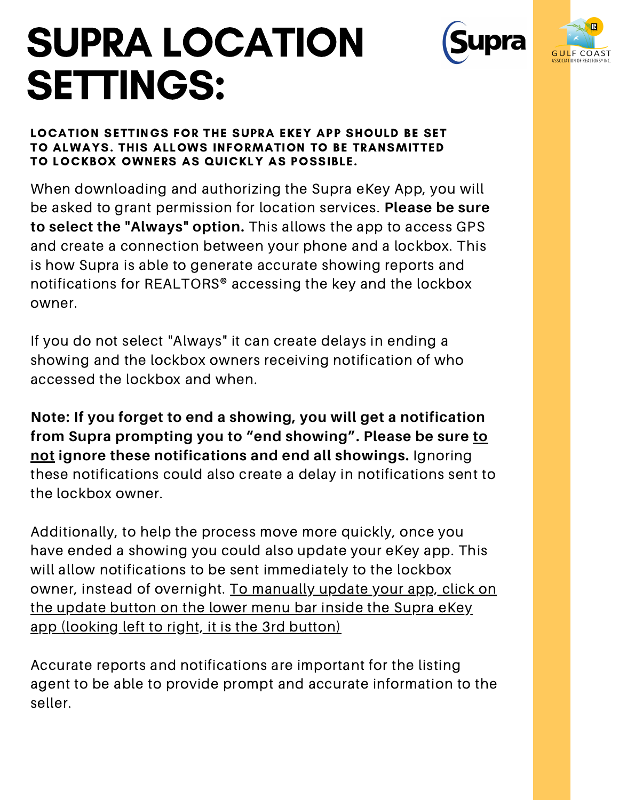# SUPRA LOCATION SETTINGS:





LOCATION SETTINGS FOR THE SUPRA EKEY APP SHOULD BE SET TO ALWAYS. THIS ALLOWS INFORMATION TO BE TRANSMITTED TO LOCKBOX OWNERS AS QUICKLY AS POSSIBLE.

When downloading and authorizing the Supra eKey App, you will be asked to grant permission for location services. **Please be sure to select the "Always" option.** This allows the app to access GPS and create a connection between your phone and a lockbox. This is how Supra is able to generate accurate showing reports and notifications for REALTORS® accessing the key and the lockbox owner.

If you do not select "Always" it can create delays in ending a showing and the lockbox owners receiving notification of who accessed the lockbox and when.

**Note: If you forget to end a showing, you will get a notification from Supra prompting you to "end showing". Please be sure to not ignore these notifications and end all showings.** Ignoring these notifications could also create a delay in notifications sent to the lockbox owner.

Additionally, to help the process move more quickly, once you have ended a showing you could also update your eKey app. This will allow notifications to be sent immediately to the lockbox owner, instead of overnight. To manually update your app, click on the update button on the lower menu bar inside the Supra eKey app (looking left to right, it is the 3rd button)

Accurate reports and notifications are important for the listing agent to be able to provide prompt and accurate information to the seller.